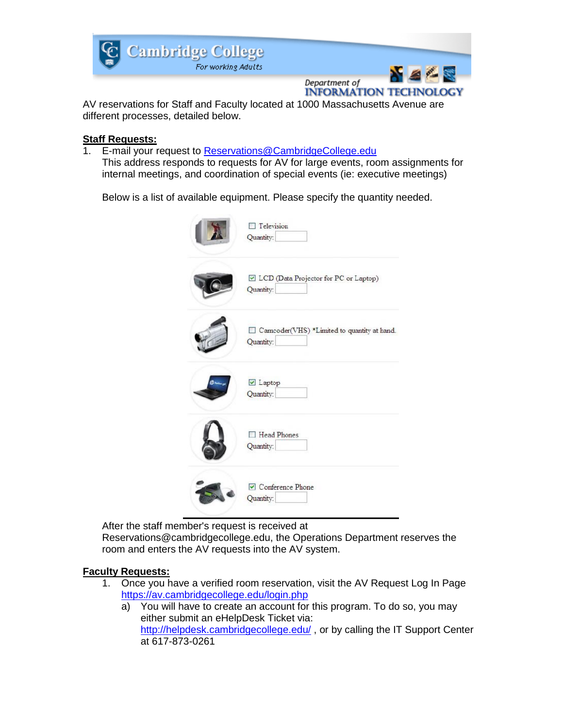

Department of **INFORMATION TECHNOLOGY** 

AV reservations for Staff and Faculty located at 1000 Massachusetts Avenue are different processes, detailed below.

## **Staff Requests:**

1. E-mail your request to [Reservations@CambridgeCollege.edu](mailto:Reservations@CambridgeCollege.edu?subject=Staff%20AV%20Request) This address responds to requests for AV for large events, room assignments for internal meetings, and coordination of special events (ie: executive meetings)

Below is a list of available equipment. Please specify the quantity needed.



After the staff member's request is received at

Reservations@cambridgecollege.edu, the Operations Department reserves the room and enters the AV requests into the AV system.

## **Faculty Requests:**

- 1. Once you have a verified room reservation, visit the AV Request Log In Page <https://av.cambridgecollege.edu/login.php>
	- a) You will have to create an account for this program. To do so, you may either submit an eHelpDesk Ticket via: <http://helpdesk.cambridgecollege.edu/>, or by calling the IT Support Center at 617-873-0261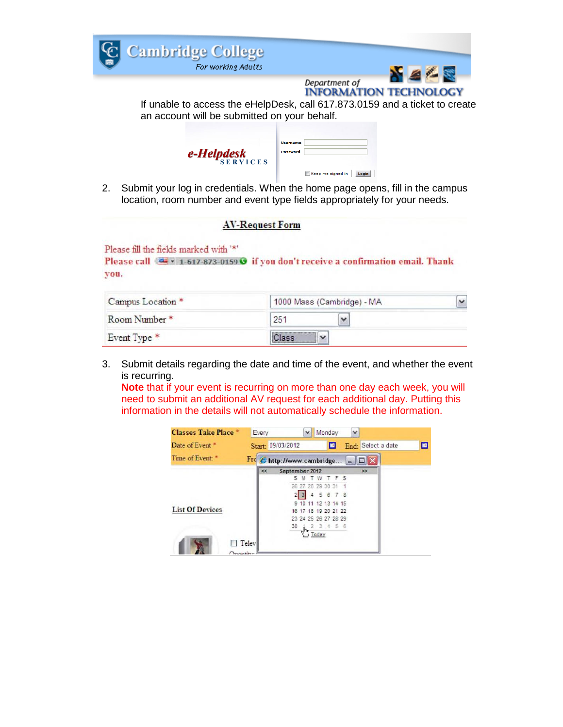

2. Submit your log in credentials. When the home page opens, fill in the campus location, room number and event type fields appropriately for your needs.

## **AV-Request Form**

Please fill the fields marked with '\*'

Please call ( $\equiv$  + 1-617-873-0159 G if you don't receive a confirmation email. Thank you.

| Campus Location *        | 1000 Mass (Cambridge) - MA |  |  |
|--------------------------|----------------------------|--|--|
| Room Number <sup>*</sup> | 251                        |  |  |
| Event Type *             | Class                      |  |  |

3. Submit details regarding the date and time of the event, and whether the event is recurring.

**Note** that if your event is recurring on more than one day each week, you will need to submit an additional AV request for each additional day. Putting this information in the details will not automatically schedule the information.